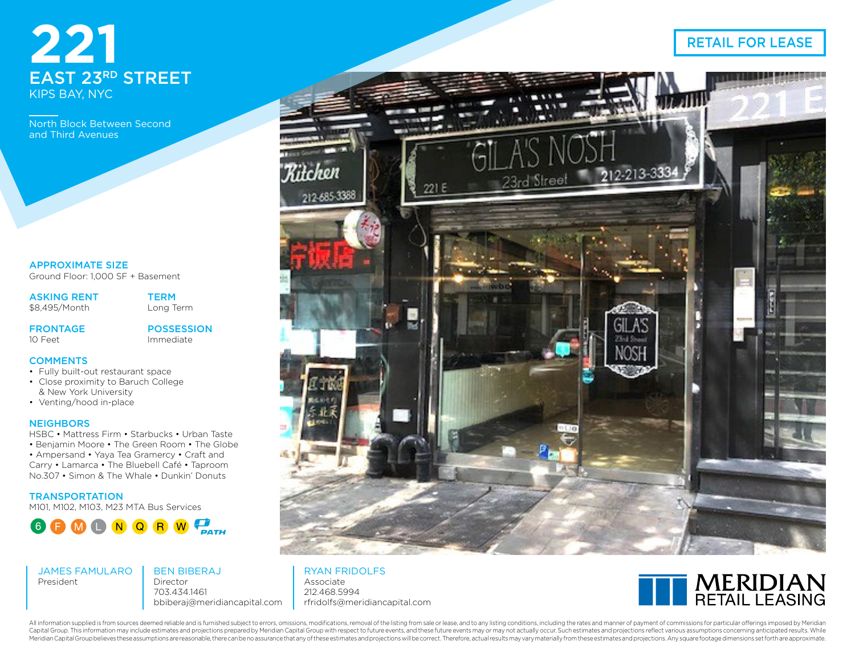# EAST 23RD STREET KIPS BAY, NYC

North Block Between Second and Third Avenues

APPROXIMATE SIZE Ground Floor: 1,000 SF + Basement

ASKING RENT

\$8,495/Month

**TERM** Long Term

FRONTAGE  $10$  Feet

POSSESSION Immediate

## **COMMENTS**

- Fully built-out restaurant space
- Close proximity to Baruch College & New York University
- Venting/hood in-place

### **NEIGHBORS**

HSBC • Mattress Firm • Starbucks • Urban Taste • Benjamin Moore • The Green Room • The Globe

• Ampersand • Yaya Tea Gramercy • Craft and Carry • Lamarca • The Bluebell Café • Taproom No.307 • Simon & The Whale • Dunkin' Donuts

**TRANSPORTATION** 

M101, M102, M103, M23 MTA Bus Services



JAMES FAMULARO President

BEN BIBERAJ Director 703.434.1461 bbiberaj@meridiancapital.com



## RYAN FRIDOLFS

Associate 212.468.5994 rfridolfs@meridiancapital.com



All information supplied is from sources deemed reliable and is furnished subject to errors, omissions, modifications, removal of the listing from sale or lease, and to any listing conditions, including the rates and manne Capital Group. This information may include estimates and projections prepared by Meridian Capital Group with respect to future events, and these future events may or may not actually occur. Such estimates and projections Meridian Capital Group believes these assumptions are reasonable, there can be no assurance that any of these estimates and projections will be correct. Therefore, actual results may vary materially from these estimates an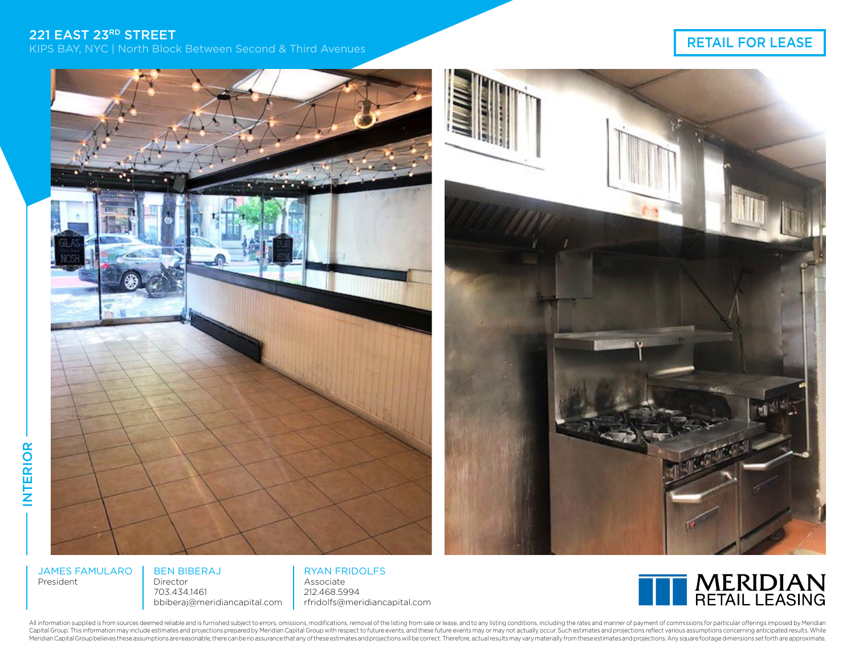221 EAST 23RD STREET<br>KIPS BAY, NYC | North Block Between Second & Third Avenues National Street Second & Third Avenues National Str



INTERIOR

**INTERIOR** 

BEN BIBERAJ Director

703.434.1461 bbiberaj@meridiancapital.com

RYAN FRIDOLFS Associate 212.468.5994 rfridolfs@meridiancapital.com



All information supplied is from sources deemed reliable and is furnished subject to errors, omissions, modifications, removal of the listing from sale or lease, and to any listing conditions, including the rates and manne Capital Group. This information may include estimates and projections prepared by Meridian Capital Group with respect to future events, and these future events may or may not actually occur. Such estimates and projections Meridian Capital Group believes these assumptions are reasonable, there can be no assurance that any of these estimates and projections will be correct. Therefore, actual results may vary materially from these estimates an